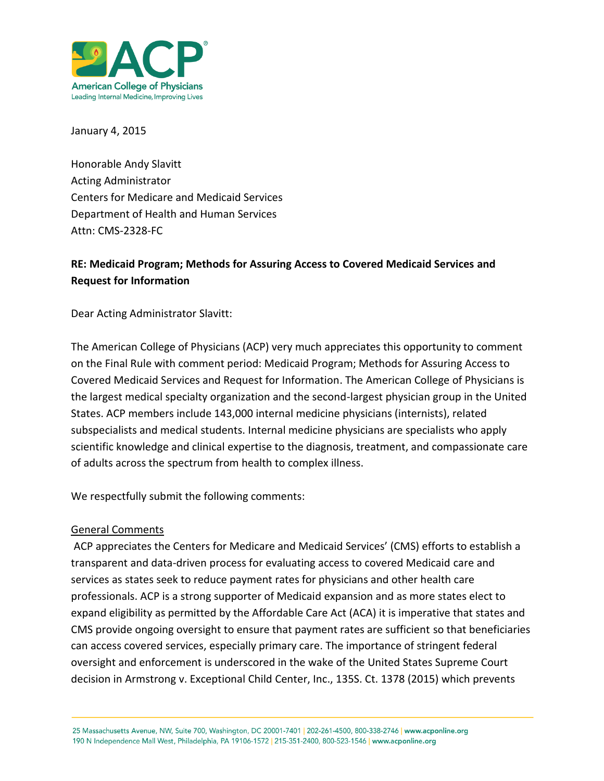

January 4, 2015

Honorable Andy Slavitt Acting Administrator Centers for Medicare and Medicaid Services Department of Health and Human Services Attn: CMS-2328-FC

## **RE: Medicaid Program; Methods for Assuring Access to Covered Medicaid Services and Request for Information**

Dear Acting Administrator Slavitt:

The American College of Physicians (ACP) very much appreciates this opportunity to comment on the Final Rule with comment period: Medicaid Program; Methods for Assuring Access to Covered Medicaid Services and Request for Information. The American College of Physicians is the largest medical specialty organization and the second-largest physician group in the United States. ACP members include 143,000 internal medicine physicians (internists), related subspecialists and medical students. Internal medicine physicians are specialists who apply scientific knowledge and clinical expertise to the diagnosis, treatment, and compassionate care of adults across the spectrum from health to complex illness.

We respectfully submit the following comments:

## General Comments

ACP appreciates the Centers for Medicare and Medicaid Services' (CMS) efforts to establish a transparent and data-driven process for evaluating access to covered Medicaid care and services as states seek to reduce payment rates for physicians and other health care professionals. ACP is a strong supporter of Medicaid expansion and as more states elect to expand eligibility as permitted by the Affordable Care Act (ACA) it is imperative that states and CMS provide ongoing oversight to ensure that payment rates are sufficient so that beneficiaries can access covered services, especially primary care. The importance of stringent federal oversight and enforcement is underscored in the wake of the United States Supreme Court decision in Armstrong v. Exceptional Child Center, Inc., 135S. Ct. 1378 (2015) which prevents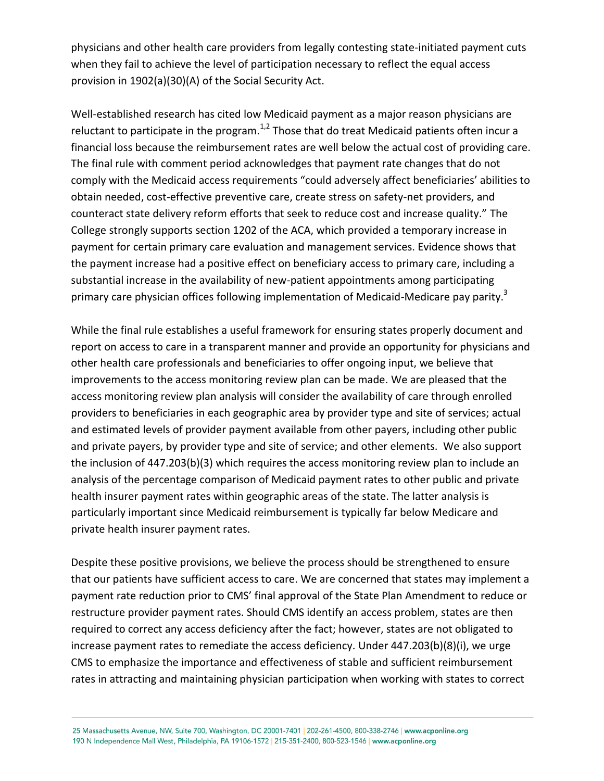physicians and other health care providers from legally contesting state-initiated payment cuts when they fail to achieve the level of participation necessary to reflect the equal access provision in 1902(a)(30)(A) of the Social Security Act.

Well-established research has cited low Medicaid payment as a major reason physicians are reluctant to participate in the program.<sup>1,2</sup> Those that do treat Medicaid patients often incur a financial loss because the reimbursement rates are well below the actual cost of providing care. The final rule with comment period acknowledges that payment rate changes that do not comply with the Medicaid access requirements "could adversely affect beneficiaries' abilities to obtain needed, cost-effective preventive care, create stress on safety-net providers, and counteract state delivery reform efforts that seek to reduce cost and increase quality." The College strongly supports section 1202 of the ACA, which provided a temporary increase in payment for certain primary care evaluation and management services. Evidence shows that the payment increase had a positive effect on beneficiary access to primary care, including a substantial increase in the availability of new-patient appointments among participating primary care physician offices following implementation of Medicaid-Medicare pay parity.<sup>3</sup>

While the final rule establishes a useful framework for ensuring states properly document and report on access to care in a transparent manner and provide an opportunity for physicians and other health care professionals and beneficiaries to offer ongoing input, we believe that improvements to the access monitoring review plan can be made. We are pleased that the access monitoring review plan analysis will consider the availability of care through enrolled providers to beneficiaries in each geographic area by provider type and site of services; actual and estimated levels of provider payment available from other payers, including other public and private payers, by provider type and site of service; and other elements. We also support the inclusion of 447.203(b)(3) which requires the access monitoring review plan to include an analysis of the percentage comparison of Medicaid payment rates to other public and private health insurer payment rates within geographic areas of the state. The latter analysis is particularly important since Medicaid reimbursement is typically far below Medicare and private health insurer payment rates.

Despite these positive provisions, we believe the process should be strengthened to ensure that our patients have sufficient access to care. We are concerned that states may implement a payment rate reduction prior to CMS' final approval of the State Plan Amendment to reduce or restructure provider payment rates. Should CMS identify an access problem, states are then required to correct any access deficiency after the fact; however, states are not obligated to increase payment rates to remediate the access deficiency. Under 447.203(b)(8)(i), we urge CMS to emphasize the importance and effectiveness of stable and sufficient reimbursement rates in attracting and maintaining physician participation when working with states to correct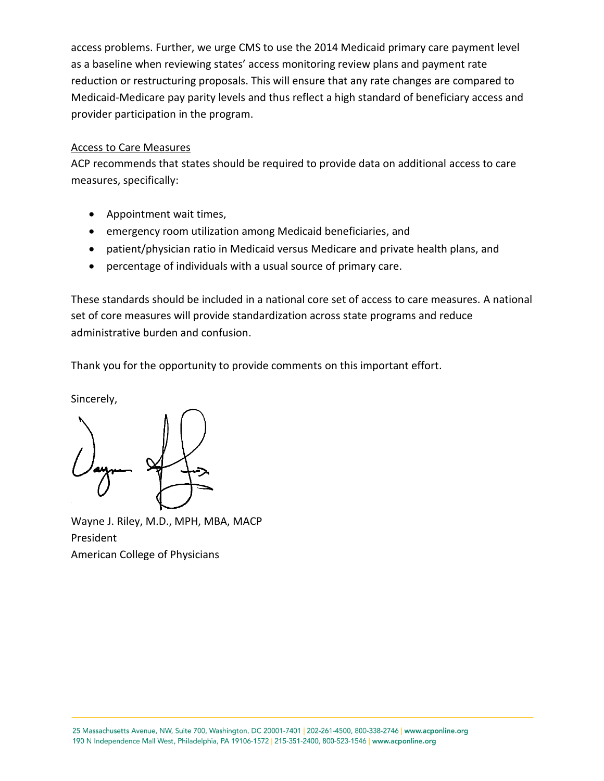access problems. Further, we urge CMS to use the 2014 Medicaid primary care payment level as a baseline when reviewing states' access monitoring review plans and payment rate reduction or restructuring proposals. This will ensure that any rate changes are compared to Medicaid-Medicare pay parity levels and thus reflect a high standard of beneficiary access and provider participation in the program.

## Access to Care Measures

ACP recommends that states should be required to provide data on additional access to care measures, specifically:

- Appointment wait times,
- emergency room utilization among Medicaid beneficiaries, and
- patient/physician ratio in Medicaid versus Medicare and private health plans, and
- percentage of individuals with a usual source of primary care.

These standards should be included in a national core set of access to care measures. A national set of core measures will provide standardization across state programs and reduce administrative burden and confusion.

Thank you for the opportunity to provide comments on this important effort.

Sincerely,

Wayne J. Riley, M.D., MPH, MBA, MACP President American College of Physicians